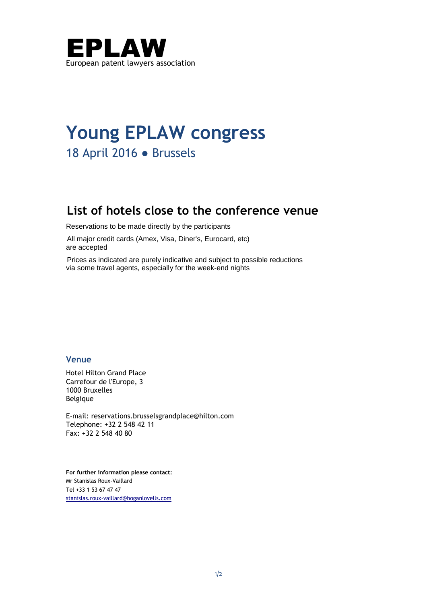

# **Young EPLAW congress** 18 April 2016 ● Brussels

# **List of hotels close to the conference venue**

Reservations to be made directly by the participants

All major credit cards (Amex, Visa, Diner's, Eurocard, etc) are accepted

Prices as indicated are purely indicative and subject to possible reductions via some travel agents, especially for the week-end nights

## **Venue**

Hotel Hilton Grand Place Carrefour de l'Europe, 3 1000 Bruxelles Belgique

E-mail: reservations.brusselsgrandplace@hilton.com Telephone: +32 2 548 42 11 Fax: +32 2 548 40 80

**For further information please contact:** Mr Stanislas Roux-Vaillard Tel +33 1 53 67 47 47 stanislas.roux-vaillard@hoganlovells.com